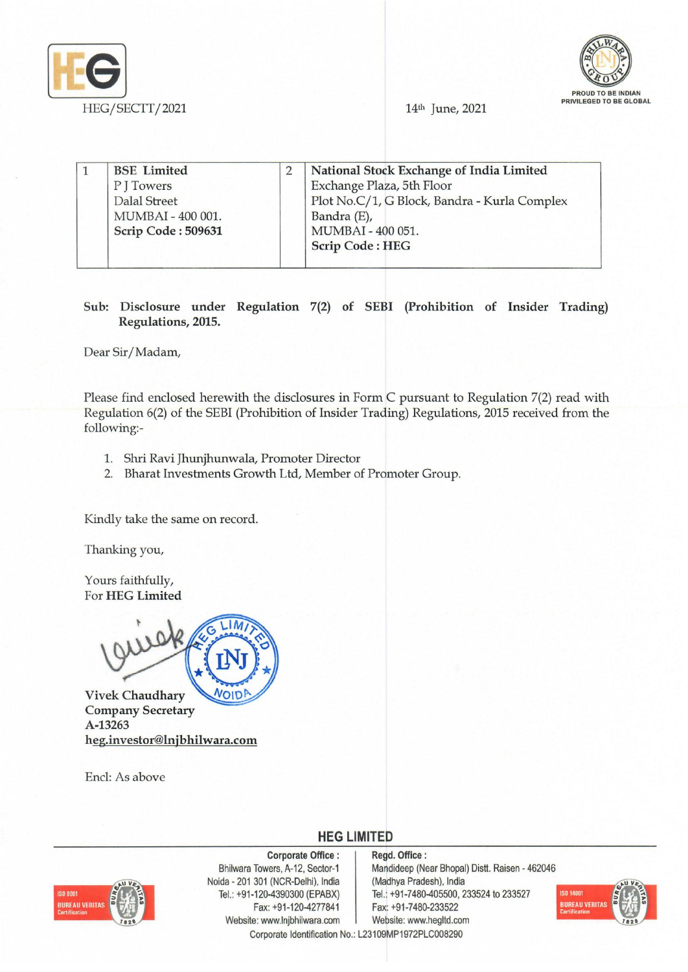



| <b>BSE</b> Limited  | National Stock Exchange of India Limited     |
|---------------------|----------------------------------------------|
| P J Towers          | Exchange Plaza, 5th Floor                    |
| <b>Dalal Street</b> | Plot No.C/1, G Block, Bandra - Kurla Complex |
| MUMBAI - 400 001.   | Bandra (E),                                  |
| Scrip Code: 509631  | MUMBAI - 400 051.                            |
|                     | <b>Scrip Code: HEG</b>                       |

## Sub: Disclosure under Regulation 7(2) of SEBI (Prohibition of Insider Trading) Regulations, 2015.

Dear Sir/Madam,

Please find enclosed herewith the disclosures in Form C pursuant to Regulation 7(2) read with Regulation 6(2) of the SEBI (Prohibition of Insider Trading) Regulations, 2015 received from the following:-

- 1. Shri Ravi Jhunjhunwala, Promoter Director
- 2. Bharat Investments Growth Ltd, Member of Promoter Group.

Kindly take the same on record.

Thanking you,

Yours faithfully, For HEG Limited



Vivek Chaudhary **NOIDP** Company Secretary A-13263 heg.investor@lnjbhilwara.com

Encl: As above



Corporate Office: Bhilwara Towers, A-12, Sector-1 Noida - 201 301 (NCR-Delhi), India Tel.: +91-120-4390300 (EPABX) Fax: +91-120-4277841 Website: www.lnjbhilwara.com | Website: www.hegltd.com

Regd. Office: Mandideep (Near Bhopal) Distt. Raisen - 462046 (Madhya Pradesh), India Tel.: +91-7480-405500, 233524 to 233527 Fax: +91-7480-233522



Corporate Identification No.: L23109MP1972PLC008290

**HEG LIMITED**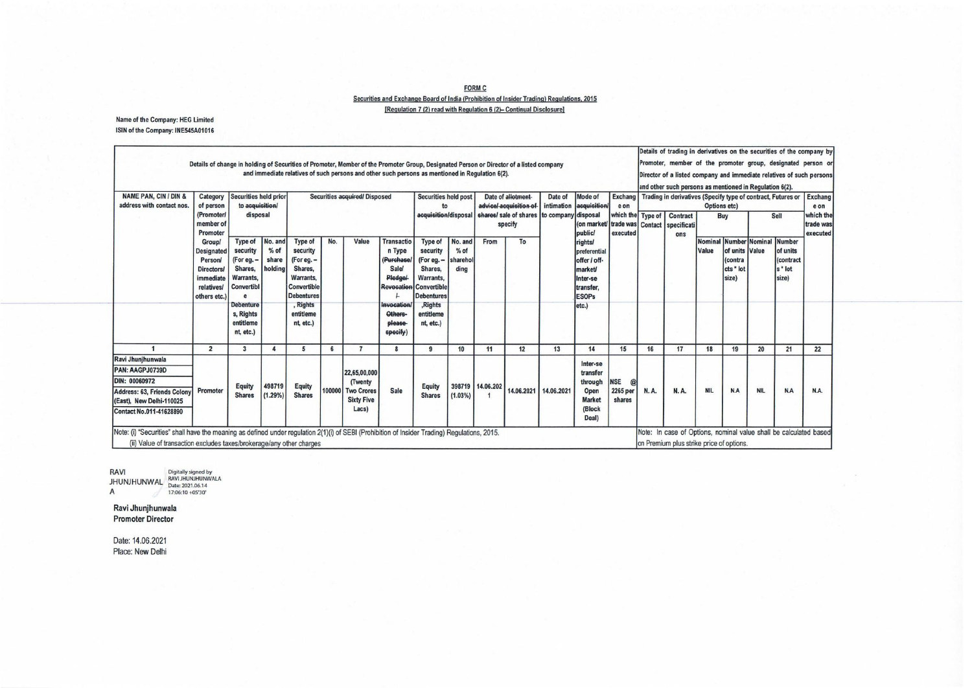**FORM C** Securities and Exchange Board of India (Prohibition of Insider Trading) Regulations, 2015 [Regulation 7 (2) read with Regulation 6 (2)- Continual Disclosure]

Name of the Company: HEG Limited ISIN of the Company: INE545A01016

| <b>NAME PAN, CIN / DIN &amp;</b><br>address with contact nos.                                                                               | Category<br>of person<br>(Promoter)<br>member of<br>Promoter<br>Groupl<br><b>Designated</b><br>Person<br><b>Directors/</b><br>immediate<br><i>relatives/</i><br>others etc.) | Securities held prior<br>to acquisition/<br>disposal                                                                                      |                                       | Securities acquired/Disposed                                                                                                               |     |                                                                            |                                                                                                                                                  | Securities held post<br>to<br>acquisition/disposal                                                                                               |                                       | Date of allotment-<br>advice/-acquisition of-<br>shares/ sale of shares   to company disposal<br>specify |    | Date of<br>intimation | Mode of<br>acquisition<br>(on market/                                                                         | Exchang<br>eon<br>which the Type of<br>trade was | Contact     | Contract<br>specificati | and other such persons as mentioned in Regulation 6(2).<br>Trading in derivatives (Specify type of contract, Futures or<br>Options etc)<br>Sell<br><b>Buy</b> |                                                 |                               |                                                       | <b>Exchang</b><br>e on<br>which the<br>trade was |
|---------------------------------------------------------------------------------------------------------------------------------------------|------------------------------------------------------------------------------------------------------------------------------------------------------------------------------|-------------------------------------------------------------------------------------------------------------------------------------------|---------------------------------------|--------------------------------------------------------------------------------------------------------------------------------------------|-----|----------------------------------------------------------------------------|--------------------------------------------------------------------------------------------------------------------------------------------------|--------------------------------------------------------------------------------------------------------------------------------------------------|---------------------------------------|----------------------------------------------------------------------------------------------------------|----|-----------------------|---------------------------------------------------------------------------------------------------------------|--------------------------------------------------|-------------|-------------------------|---------------------------------------------------------------------------------------------------------------------------------------------------------------|-------------------------------------------------|-------------------------------|-------------------------------------------------------|--------------------------------------------------|
|                                                                                                                                             |                                                                                                                                                                              | <b>Type of</b><br>security<br>(For eg. -<br>Shares.<br>Warrants,<br>Convertibl<br><b>Debenture</b><br>s, Rights<br>entitleme<br>nt, etc.) | No. and<br>$%$ of<br>share<br>holding | <b>Type of</b><br>security<br>(For eg. -<br>Shares.<br>Warrants,<br>Convertible<br><b>Debentures</b><br>. Rights<br>entitleme<br>nt, etc.) | No. | Value                                                                      | <b>Transactio</b><br>n Type<br>(Purchase)<br><b>Sale/</b><br><b>Pledgel</b><br><b>Revocation</b><br>Invocation/<br>Others-<br>please<br>specify) | <b>Type of</b><br>security<br>(For eg. -<br>Shares.<br>Warrants,<br><b>Convertible</b><br><b>Debentures</b><br>,Rights<br>entitleme<br>nt. etc.) | No. and<br>$%$ of<br>sharehol<br>dina | From                                                                                                     | To |                       | public<br>rights<br>preferential<br>offer / off-<br>market/<br>Inter-se<br>transfer.<br><b>ESOPs</b><br>etc.) | executed                                         |             | ons                     | Value                                                                                                                                                         | of units Value<br>(contra<br>cts * lot<br>size) | Nominal Number Nominal Number | lof units<br>(contract<br>s <sup>*</sup> lot<br>size) | executed                                         |
|                                                                                                                                             | $\overline{2}$                                                                                                                                                               | 3                                                                                                                                         |                                       | 5                                                                                                                                          |     | $\overline{7}$                                                             |                                                                                                                                                  | $\mathbf{Q}$                                                                                                                                     | 10                                    | 11                                                                                                       | 12 | 13                    | 14                                                                                                            | 15                                               | 16          | 17                      | 18                                                                                                                                                            | 19                                              | 20                            | 21                                                    | 22                                               |
| Ravi Jhunjhunwala<br>PAN: AAGPJ0739D<br>DIN: 00060972<br>Address: 63, Friends Colony<br>(East), New Delhi-110025<br>Contact No.011-41628890 | Promoter                                                                                                                                                                     | Equity<br><b>Shares</b>                                                                                                                   | 498719<br>(1.29%)                     | <b>Equity</b><br><b>Shares</b>                                                                                                             |     | 22,65,00,000<br>(Twenty<br>100000 Two Crores<br><b>Sixty Five</b><br>Lacs) | Sale                                                                                                                                             | <b>Equity</b><br><b>Shares</b>                                                                                                                   | (1.03%)                               | 398719 14.06.202                                                                                         |    | 14.06.2021 14.06.2021 | Inter-se<br>transfer<br>through<br>Open<br><b>Market</b><br>(Block<br>Deal)                                   | <b>NSE</b><br>@<br>2265 per<br>shares            | <b>N.A.</b> | <b>N.A.</b>             | <b>NIL</b>                                                                                                                                                    | N.A                                             | <b>NIL</b>                    | N.A                                                   | N.A.                                             |

RAVI Digitally signed by<br>JHUNJHUNWAL RAVI JHUNJHUNWALA<br>A 17:06:10 +05'30'

Ravi Jhunjhunwala **Promoter Director** 

Date: 14.06.2021 Place: New Delhi